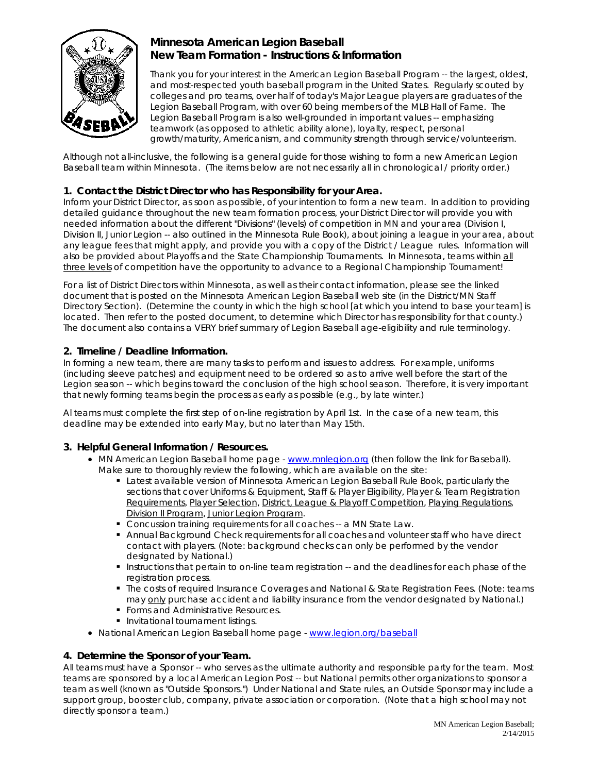

# **Minnesota American Legion Baseball New Team Formation - Instructions & Information**

Thank you for your interest in the American Legion Baseball Program -- the largest, oldest, and most-respected youth baseball program in the United States. Regularly scouted by colleges and pro teams, over half of today's Major League players are graduates of the Legion Baseball Program, with over 60 being members of the MLB Hall of Fame. The Legion Baseball Program is also well-grounded in important values -- emphasizing teamwork (as opposed to athletic ability alone), loyalty, respect, personal growth/maturity, Americanism, and community strength through service/volunteerism.

Although not all-inclusive, the following is a general guide for those wishing to form a new American Legion Baseball team within Minnesota. (The items below are not necessarily all in chronological / priority order.)

# **1. Contact the District Director who has Responsibility for your Area.**

Inform your District Director, as soon as possible, of your intention to form a new team. In addition to providing detailed guidance throughout the new team formation process, your District Director will provide you with needed information about the different "Divisions" (levels) of competition in MN and your area (Division I, Division II, Junior Legion -- also outlined in the Minnesota Rule Book), about joining a league in your area, about any league fees that might apply, and provide you with a copy of the District / League rules. Information will also be provided about Playoffs and the State Championship Tournaments. In Minnesota, teams within all three levels of competition have the opportunity to advance to a Regional Championship Tournament!

For a list of District Directors within Minnesota, as well as their contact information, please see the linked document that is posted on the Minnesota American Legion Baseball web site (in the District/MN Staff Directory Section). (Determine the county in which the high school [at which you intend to base your team] is located. Then refer to the posted document, to determine which Director has responsibility for that county.) The document also contains a VERY brief summary of Legion Baseball age-eligibility and rule terminology.

# **2. Timeline / Deadline Information.**

In forming a new team, there are many tasks to perform and issues to address. For example, uniforms (including sleeve patches) and equipment need to be ordered so as to arrive well before the start of the Legion season -- which begins toward the conclusion of the high school season. Therefore, it is very important that newly forming teams begin the process as early as possible (e.g., by late winter.)

Al teams must complete the first step of on-line registration by April 1st. In the case of a new team, this deadline may be extended into early May, but no later than May 15th.

# **3. Helpful General Information / Resources.**

- MN American Legion Baseball home page [www.mnlegion.org](http://www.mnlegion.org/) (then follow the link for Baseball). Make sure to thoroughly review the following, which are available on the site:
	- Latest available version of Minnesota American Legion Baseball Rule Book, particularly the sections that cover Uniforms & Equipment, Staff & Player Eligibility, Player & Team Registration Requirements, Player Selection, District, League & Playoff Competition, Playing Regulations, Division II Program, Junior Legion Program.
	- **Concussion training requirements for all coaches -- a MN State Law.**
	- **Annual Background Check requirements for all coaches and volunteer staff who have direct** contact with players. (Note: background checks can only be performed by the vendor designated by National.)
	- Instructions that pertain to on-line team registration -- and the deadlines for each phase of the registration process.
	- **The costs of required Insurance Coverages and National & State Registration Fees. (Note: teams** may only purchase accident and liability insurance from the vendor designated by National.)
	- **Forms and Administrative Resources.**
	- **Invitational tournament listings.**
- National American Legion Baseball home page [www.legion.org/baseball](http://www.legion.org/baseball)

# **4. Determine the Sponsor of your Team.**

All teams must have a Sponsor -- who serves as the ultimate authority and responsible party for the team. Most teams are sponsored by a local American Legion Post -- but National permits other organizations to sponsor a team as well (known as "Outside Sponsors.") Under National and State rules, an Outside Sponsor may include a support group, booster club, company, private association or corporation. (Note that a high school may not directly sponsor a team.)